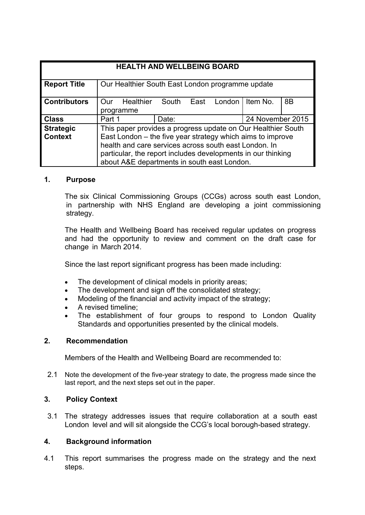| <b>HEALTH AND WELLBEING BOARD</b>  |                                                                                                                                                                                                                                                                                                    |       |      |        |                  |                |
|------------------------------------|----------------------------------------------------------------------------------------------------------------------------------------------------------------------------------------------------------------------------------------------------------------------------------------------------|-------|------|--------|------------------|----------------|
| <b>Report Title</b>                | Our Healthier South East London programme update                                                                                                                                                                                                                                                   |       |      |        |                  |                |
| <b>Contributors</b>                | <b>Healthier</b><br>Our<br>programme                                                                                                                                                                                                                                                               | South | East | London | Item No.         | 8 <sub>B</sub> |
| <b>Class</b>                       | Part 1                                                                                                                                                                                                                                                                                             | Date: |      |        | 24 November 2015 |                |
| <b>Strategic</b><br><b>Context</b> | This paper provides a progress update on Our Healthier South<br>East London – the five year strategy which aims to improve<br>health and care services across south east London. In<br>particular, the report includes developments in our thinking<br>about A&E departments in south east London. |       |      |        |                  |                |

# **1. Purpose**

The six Clinical Commissioning Groups (CCGs) across south east London, in partnership with NHS England are developing a joint commissioning strategy.

The Health and Wellbeing Board has received regular updates on progress and had the opportunity to review and comment on the draft case for change in March 2014.

Since the last report significant progress has been made including:

- The development of clinical models in priority areas;
- The development and sign off the consolidated strategy;
- Modeling of the financial and activity impact of the strategy;
- A revised timeline;
- The establishment of four groups to respond to London Quality Standards and opportunities presented by the clinical models.

### **2. Recommendation**

Members of the Health and Wellbeing Board are recommended to:

2.1 Note the development of the five-year strategy to date, the progress made since the last report, and the next steps set out in the paper.

# **3. Policy Context**

3.1 The strategy addresses issues that require collaboration at a south east London level and will sit alongside the CCG's local borough-based strategy.

### **4. Background information**

4.1 This report summarises the progress made on the strategy and the next steps.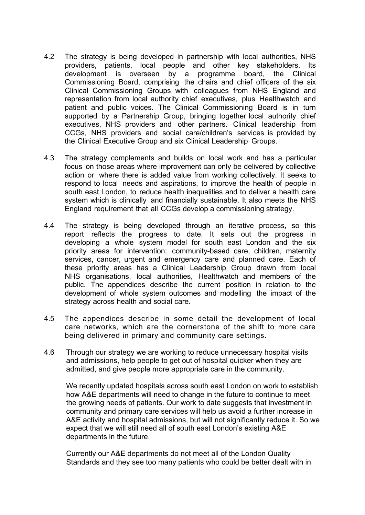- 4.2 The strategy is being developed in partnership with local authorities, NHS providers, patients, local people and other key stakeholders. Its development is overseen by a programme board, the Clinical Commissioning Board, comprising the chairs and chief officers of the six Clinical Commissioning Groups with colleagues from NHS England and representation from local authority chief executives, plus Healthwatch and patient and public voices. The Clinical Commissioning Board is in turn supported by a Partnership Group, bringing together local authority chief executives, NHS providers and other partners. Clinical leadership from CCGs, NHS providers and social care/children's services is provided by the Clinical Executive Group and six Clinical Leadership Groups.
- 4.3 The strategy complements and builds on local work and has a particular focus on those areas where improvement can only be delivered by collective action or where there is added value from working collectively. It seeks to respond to local needs and aspirations, to improve the health of people in south east London, to reduce health inequalities and to deliver a health care system which is clinically and financially sustainable. It also meets the NHS England requirement that all CCGs develop a commissioning strategy.
- 4.4 The strategy is being developed through an iterative process, so this report reflects the progress to date. It sets out the progress in developing a whole system model for south east London and the six priority areas for intervention: community-based care, children, maternity services, cancer, urgent and emergency care and planned care. Each of these priority areas has a Clinical Leadership Group drawn from local NHS organisations, local authorities, Healthwatch and members of the public. The appendices describe the current position in relation to the development of whole system outcomes and modelling the impact of the strategy across health and social care.
- 4.5 The appendices describe in some detail the development of local care networks, which are the cornerstone of the shift to more care being delivered in primary and community care settings.
- 4.6 Through our strategy we are working to reduce unnecessary hospital visits and admissions, help people to get out of hospital quicker when they are admitted, and give people more appropriate care in the community.

We recently updated hospitals across south east London on work to establish how A&E departments will need to change in the future to continue to meet the growing needs of patients. Our work to date suggests that investment in community and primary care services will help us avoid a further increase in A&E activity and hospital admissions, but will not significantly reduce it. So we expect that we will still need all of south east London's existing A&E departments in the future.

Currently our A&E departments do not meet all of the London Quality Standards and they see too many patients who could be better dealt with in